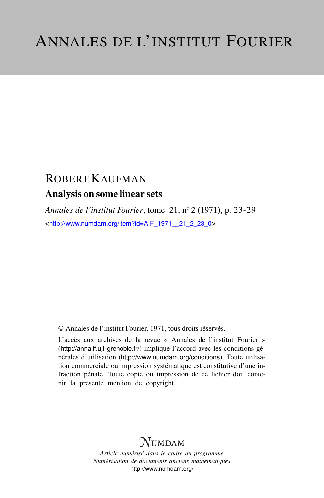# ROBERT KAUFMAN Analysis on some linear sets

*Annales de l'institut Fourier*, tome 21, n<sup>o</sup> 2 (1971), p. 23-29 <[http://www.numdam.org/item?id=AIF\\_1971\\_\\_21\\_2\\_23\\_0](http://www.numdam.org/item?id=AIF_1971__21_2_23_0)>

© Annales de l'institut Fourier, 1971, tous droits réservés.

L'accès aux archives de la revue « Annales de l'institut Fourier » (<http://annalif.ujf-grenoble.fr/>) implique l'accord avec les conditions générales d'utilisation (<http://www.numdam.org/conditions>). Toute utilisation commerciale ou impression systématique est constitutive d'une infraction pénale. Toute copie ou impression de ce fichier doit contenir la présente mention de copyright.

# NUMDAM

*Article numérisé dans le cadre du programme Numérisation de documents anciens mathématiques* <http://www.numdam.org/>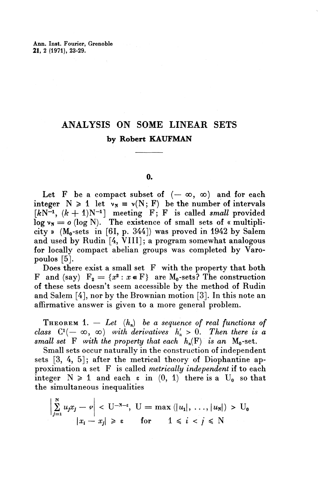# ANALYSIS ON SOME LINEAR SETS **by Robert KAUFMAN**

### **0.**

Let F be a compact subset of  $(-\infty, \infty)$  and for each integer  $N \ge 1$  let  $v_N = v(N; F)$  be the number of intervals  $[kN^{-1}, (k+1)N^{-1}]$  meeting  $F$ ; F is called *small* provided  $log \nu_{\rm N} = o$  (log N). The existence of small sets of « multiplicity »  $(M_0\text{-sets} \text{ in } [61, p. 344])$  was proved in 1942 by Salem and used by Rudin [4, VIII]; a program somewhat analogous for locally compact abelian groups was completed by Varopoulos [5].

Does there exist a small set F with the property that both F and (say)  $F_2 = \{x^2 : x \in F\}$  are M<sub>o</sub>-sets? The construction of these sets doesn't seem accessible by the method of Rudin and Salem [4], nor by the Brownian motion [3]. In this note an affirmative answer is given to a more general problem.

**THEOREM** 1.  $-$  Let  $(h_n)$  be a sequence of real functions of *class*  $C^1(-\infty, \infty)$  with derivatives  $h'_n > 0$ . Then there is a *small set* F with the property that each  $h_n(F)$  is an  $M_0$ -set.

Small sets occur naturally in the construction of independent sets [3, 4, 5]; after the metrical theory of Diophantine approximation a set F is called *metrically independent* if to each integer  $N \ge 1$  and each  $\epsilon$  in  $(0, 1)$  there is a U<sub>0</sub> so that the simultaneous inequalities

$$
\left|\sum_{j=1}^{N} u_j x_j - \varphi\right| < U^{-N-\epsilon}, \ U = \max\left(|u_1|, \ldots, |u_N|\right) > U_0
$$
\n
$$
|x_i - x_j| \geqslant \epsilon \quad \text{for} \quad 1 \leqslant i < j \leqslant N
$$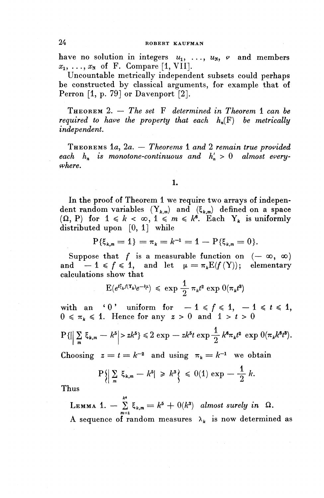### **24 ROBERT KAUFMAN**

have no solution in integers  $u_1, \ldots, u_N, v$  and members  $x_1, \ldots, x_N$  of F. Compare [1, VII].

Uncountable metrically independent subsets could perhaps be constructed by classical arguments, for example that of Perron [1, p. 79] or Davenport [2].

THEOREM 2. — *The set* F *determined in Theorem* 1 *can be required to have the property that each*  $h_n(F)$  *be metrically independent.*

THEOREMS la, 2a. — *Theorems* 1 *and* 2 *remain true provided* each  $h_n$  is monotone-continuous and  $h'_n > 0$  almost every*where.*

#### *1.*

In the proof of Theorem 1 we require two arrays of independent random variables  $(Y_{k,m})$  and  $(\xi_{k,m})$  defined on a space ( $\Omega$ , P) for  $1 \leq k < \infty$ ,  $1 \leq m \leq k^6$ . Each Y<sub>k</sub> is uniformly distributed upon [0, 1] while<br>  $P\{\xi_{k,m} = 1\} = \pi_k = k^{-1} = 1 - P\{\xi_{k,n}\}$ 

$$
P\{\xi_{k,m}=1\}=\pi_k=k^{-1}=1-P\{\xi_{k,m}=0\}.
$$

Suppose that f is a measurable function on  $(-\infty, \infty)$ and  $-1 \leq f \leq 1$ , and let  $\mu = \pi_k \mathbb{E}(f(Y))$ ; elementary calculations show that

$$
E(e^{t\xi_k f(\mathbf{T}_k)}e^{-t\mu}) \leq \exp \frac{1}{2} \pi_k t^2 \exp \theta(\pi_k t^3)
$$

with an '0' uniform for  $-1 \leq f \leq 1, -1 \leq t \leq 1$ ,  $0 \leq \pi_k \leq 1$ . Hence for any  $z > 0$  and  $1 > t > 0$ 

$$
P\{\Big|\Big|\sum_{m}\xi_{k,m}-k^{5}\Big|>zk^{5}\}\leqslant 2\exp\{-zk^{5}t\exp\frac{1}{2}k^{6}\pi_{k}t^{2}\exp\left(0(\pi_{k}k^{6}t^{3})\right).
$$

Choosing  $z = t = k^{-2}$  and using  $\pi_k = k^{-1}$  we obtain

$$
\mathbf{P}\Big\{\Big|\sum_{m}\ \xi_{k,m}\ -\ k^5\Big|\ \geqslant\ k^3\Big\}\ \leqslant\ 0(1)\ \exp\ -\ \frac{1}{2}\ k.
$$

Thus

LEMMA 1.  $-\sum_{m=1}^{k^6} \xi_{k,m} = k^5 + 0(k^3)$  almost surely in  $\Omega$ . A sequence of random measures  $\lambda_k$  is now determined as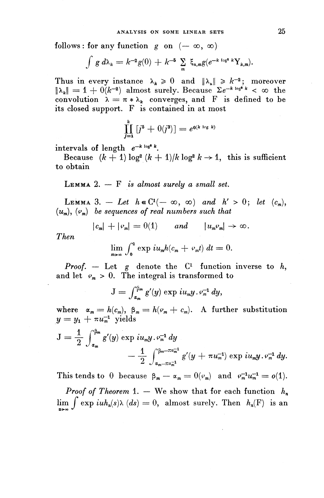follows : for any function  $g$  on  $(-\infty, \infty)$ 

$$
\int g d\lambda_k = k^{-2} g(0) + k^{-5} \sum_m \xi_{n,m} g(e^{-k \log^2 k} Y_{k,m}).
$$

Thus in every instance  $\lambda_k \geq 0$  and  $\|\lambda_k\| \geq k^{-2}$ ; moreover  $\|\lambda_k\| = 1 + 0(k^{-2})$  almost surely. Because  $\Sigma e^{-k \log^2 k} < \infty$  the convolution  $\lambda = \pi * \lambda_k$  converges, and F is defined to be its closed support. F is contained in at most

$$
\prod_{j=1}^k [j^5 + 0(j^3)] = e^{0(k \log k)}
$$

 $intervals of length  $e^{-k \log^2 k}$ .$ 

Because  $(k + 1) \log^2(k + 1)/k \log^2 k \to 1$ , this is sufficient to obtain

LEMMA 2. — F *is almost surely a small set.*

LEMMA 3. - Let  $h \in C^1(-\infty, \infty)$  and  $h' > 0$ ; let  $(c_m)$ ,

$$
(u_m)
$$
,  $(\nu_m)$  be sequences of real numbers such that  
 $|c_m| + |\nu_m| = O(1)$  and  $|u_m \nu_m| \to \infty$ .

*Then*

$$
\lim_{m\to\infty}\int_0^1\exp i u_m h(c_m + c_m t) dt = 0.
$$

*Proof.*  $-$  Let g denote the  $C<sup>1</sup>$  function inverse to h, and let  $\varphi_m > 0$ . The integral is transformed to

 $J = \int_{\alpha_m}^{\beta_m} g'(y) \exp(i u_m y \cdot \varphi_m^{-1} dy),$ 

where  $\alpha_m = h(c_m)$ ,  $\beta_m = h(\varphi_m + c_m)$ . A further substitution  $y = y_1 + \pi u_m^{-1}$  yields

$$
J = \frac{1}{2} \int_{\alpha_m}^{\beta_m} g'(y) \exp i u_m y \cdot v_m^{-1} dy - \frac{1}{2} \int_{\alpha_m - \pi u_m^{-1}}^{\beta_m - \pi u_m^{-1}} g'(y + \pi u_m^{-1}) \exp i u_m y \cdot v_m^{-1} dy.
$$

This tends to 0 because  $\beta_m - \alpha_m = 0(\varphi_m)$  and  $\varphi_m^{-1} u_m^{-1} = o(1)$ .

*Proof of Theorem* 1. — We show that for each function  $h_n$  $\lim_{n \to \infty} \int \exp(iuh_n(s)\lambda \ (ds) = 0$ , almost surely. Then  $h_n(F)$  is an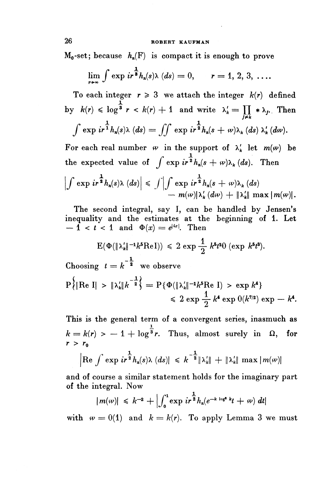## **26 ROBERT KAUFMAN**

 $M_0$ -set; because  $h_n(F)$  is compact it is enough to prove

ROBERT KAUFMAN  
\n; because 
$$
h_n(F)
$$
 is compact it is enough to prove  
\n
$$
\lim_{r \to \infty} \int \exp ir^{\frac{1}{3}}h_n(s) \lambda (ds) = 0, \qquad r = 1, 2, 3, ...
$$

To each integer  $r \geq 3$  we attach the integer  $k(r)$  defined by  $k(r) \leqslant \log^{\frac{1}{3}} r < k(r) + 1$  and write  $\lambda'_k = \prod_{k} \lambda_k$ . Then  $\frac{1}{j\neq k}$  $\int \exp i r^{\frac{1}{1}} h_n(s) \lambda (ds) = \iint \exp i r^{\frac{1}{2}} h_n(s + \omega) \lambda_k (ds) \lambda'_k (d\omega).$ 

For each real number  $\varphi$  in the support of  $\lambda'_{k}$  let  $m(\varphi)$  be the expected value of  $\int \exp i r^{\frac{1}{2}} h_n(s + \omega) \lambda_k(ds)$ . Then

$$
\left|\int \exp i r^{\frac{1}{2}} h_n(s) \lambda (ds)\right| \leq \int \left|\int \exp i r^{\frac{1}{2}} h_n(s+\omega) \lambda_k (ds)\right|
$$
  
-  $m(\omega)|\lambda'_k (d\omega) + ||\lambda'_k|| \max |m(\omega)|.$ 

The second integral, say I, can be handled by Jensen's inequality and the estimates at the beginning of 1. Let  $-1 < t < 1$  and  $\Phi(x) = e^{|tx|}$ . Then

$$
E(\Phi(\|\lambda'_k\|^{-1}k^5\mathrm{Re}\,I)) \leq 2 \exp{\frac{1}{2} k^5t^2} \quad (\exp{k^5t^3}).
$$

Choosing  $t = k^{-\frac{1}{2}}$  we observe **p**{ $\{[Re \ I] > \|\lambda_k'\| \kappa^{-\frac{1}{2}}\} = P\{\Phi(\|\lambda_k'\|^{-1}k^5Re \ I) > \exp k^4\}$  $\leq 2 \exp \frac{1}{2} k^4 \exp 0(k^{7/2}) \exp -k^4$ 

This is the general term of a convergent series, inasmuch as  $k = k(r) > -1 + \log^{\frac{1}{3}} r$ . Thus, almost surely in  $\Omega$ , for  $r > r_0$ 

$$
\left|\text{Re}\int \exp\,ir^{\frac{1}{2}}h_n(s)\lambda\ (ds)\right| \ \leqslant k^{-\frac{1}{2}}\|\lambda_k'\| + \|\lambda_k'\| \max\,m(\omega)\|
$$

and of course a similar statement holds for the imaginary part of the integral. Now

$$
|m(\omega)| \leq k^{-2} + \left| \int_0^1 \exp i r^{\frac{1}{2}} h_n(e^{-k \log^2 k} t + \omega) dt \right|
$$

with  $\omega = 0(1)$  and  $k = k(r)$ . To apply Lemma 3 we must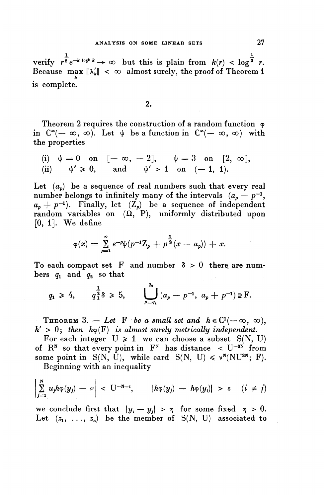**1. 1** verify  $r^{\frac{1}{2}}e^{-k \log^2 k} \to \infty$  but this is plain from  $k(r) < \log^{\frac{1}{3}} r$ . Because max  $\|\lambda_k'\| < \infty$  almost surely, the proof of Theorem 1 is complete.

2.

Theorem 2 requires the construction of a random function  $\varphi$ in  $C^{\infty}(-\infty, \infty)$ . Let  $\psi$  be a function in  $C^{\infty}(-\infty, \infty)$  with **the properties**

(i) 
$$
\psi = 0
$$
 on  $[-\infty, -2]$ ,  $\psi = 3$  on  $[2, \infty]$ ,  
\n(ii)  $\psi' \ge 0$ , and  $\psi' > 1$  on  $(-1, 1)$ .

Let  $(a_n)$  be a sequence of real numbers such that every real number belongs to infinitely many of the intervals  $(a_p - p^{-1})$ ,  $a_p + p^{-1}$ ). Finally, let  $(Z_p)$  be a sequence of independent random variables on  $(\Omega, P)$ , uniformly distributed upon  $[0, 1]$ . We define

$$
\varphi(x) = \sum_{p=1}^{\infty} e^{-p} \psi(p^{-1} Z_p + p^{\frac{1}{2}}(x - a_p)) + x.
$$

To each compact set F and number  $\delta > 0$  there are num- $\mathbf b$ ers  $q_{\mathbf 1}$  and  $q_{\mathbf 2}$  so that

$$
q_1 \ge 4
$$
,  $q_1^{\frac{1}{2}} \ge 5$ ,  $\bigcup_{p=q_1}^{q_2} (a_p - p^{-1}, a_p + p^{-1}) \ge F$ .

**THEOREM** 3. - Let F be a small set and  $h \in C^1(-\infty, \infty)$ ,  $h' > 0$ ; then  $h\varphi(F)$  is almost surely metrically independent.

For each integer  $U \ge 1$  we can choose a subset  $S(N, U)$ of  $R^N$  so that every point in  $F^N$  has distance  $\langle U^{-3N} \rangle$  from some point in S(N, U), while card  $S(N, U) \leq v^N(NU^{3N}; F)$ .

Beginning with an inequality

$$
\left|\sum_{j=1}^N u_j h \varphi(y_j) - \varphi\right| < \mathbf{U}^{-N-\varepsilon}, \qquad |h \varphi(y_j) - h \varphi(y_i)| > \varepsilon \quad (i \neq j)
$$

we conclude first that  $|y_i - y_j| > \eta$  for some fixed  $\eta > 0$ . Let  $(z_1, \ldots, z_n)$  be the member of S(N, U) associated to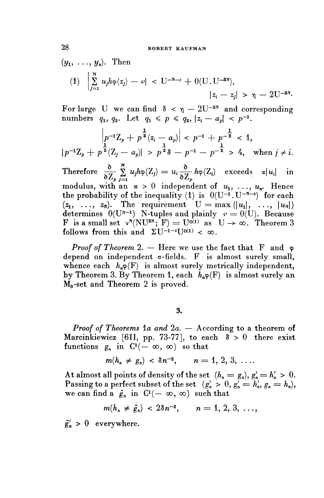$$
(y_1, \ldots, y_n)
$$
. Then  
\n $(1) \quad \Big| \sum_{j=1}^{N} u_j h \varphi(z_j) - \varphi \Big| < [U^{-N-\epsilon} + O(U, U^{-3N}),$   
\n $|z_i - z_j| > \eta - 2U^{-3N}.$ 

For large U we can find  $\delta < \eta - 2U^{-3N}$  and corresponding For large U we can find  $\delta < \eta - 20^{-38}$  and computed to the property of  $q_1, q_2$ . Let  $q_1 \leq p \leq q_2, |z_i - a_j| < p^{-1}$ .

numbers 
$$
q_1, q_2
$$
. Let  $q_1 \leq p \leq q_2, |z_i - a_p| \leq p^2$ .  
\n
$$
\left| p^{-1} Z_p + p^{\frac{1}{2}} (z_i - a_p) \right| < p^{-1} + p^{-\frac{1}{2}} < 1,
$$
\n
$$
\left| p^{-1} Z_p + p^{\frac{1}{2}} (Z_j - a_p) \right| > p^{\frac{1}{2}} \delta - p^{-1} - p^{-\frac{1}{2}} > 4, \text{ when } j \neq i.
$$

**Therefore**  $\frac{\partial}{\partial Z_n} \sum_{i=1}^N u_j h \varphi(Z_i) = u_i \frac{\partial}{\partial Z_n} h \varphi(Z_i)$  exceeds  $\alpha |u_i|$  in modulus, with an  $\alpha > 0$  independent of  $u_1, \ldots, u_n$ . Hence the probability of the inequality (1) is  $0(U^{-1}.U^{-N-\epsilon})$  for each  $(z_1, \ldots, z_N)$ . The requirement  $U = \max(|u_1|, \ldots, |u_N|)$  $(2_1, \ldots, 2_N)$ . The requirement  $U = \max_{u \in U} |u_1|, \ldots, |u_N|$ <br>determines  $0(U^{N-1})$  N-tuples and plainly  $v = 0(U)$ . Because F is a small set  $v^N(NU^{3N}; F) = U^{(1)}(X)$  as  $U \rightarrow \infty$ . Theorem 3 **F** is a small set  $V^{\prime}(N\cup\cdots; F) = U^{\sigma(X)}$  as<br>follows from this and  $\Sigma U^{-1-\epsilon}U^{\sigma(X)} < \infty$ 

*Proof of Theorem* 2. — Here we use the fact that F and  $\varphi$ depend on independent  $\sigma$ -fields. F is almost surely small, whence each  $h_n\varphi(F)$  is almost surely metrically independent, by Theorem 3. By Theorem 1, each  $h_n\varphi(F)$  is almost surely an  $M_0$ -set and Theorem 2 is proved.

**3.**

*Proof of Theorems la and la.* — According to a theorem of Marcinkiewicz [611, pp. 73-77], to each  $\delta > 0$  there exist functions  $g_n$  in  $C^1(-\infty, \infty)$  so that

$$
m(h_n \neq g_n) < \delta n^{-2}, \qquad n = 1, 2, 3, \ldots
$$

At almost all points of density of the set  $(h_n = g_n), g'_n = h'_n > 0.$ **Passing to a perfect subset of the set**  $(g_n' > 0, g_n' = h_n', g_n = h_n)$ , **we can find a**  $\tilde{g}_n$  in  $C^1(-\infty, \infty)$  such that

$$
m(h_n \neq \tilde{g}_n) < 2\delta n^{-2}, \quad n = 1, 2, 3, \ldots,
$$

 $\tilde{g}'_n > 0$  everywhere.